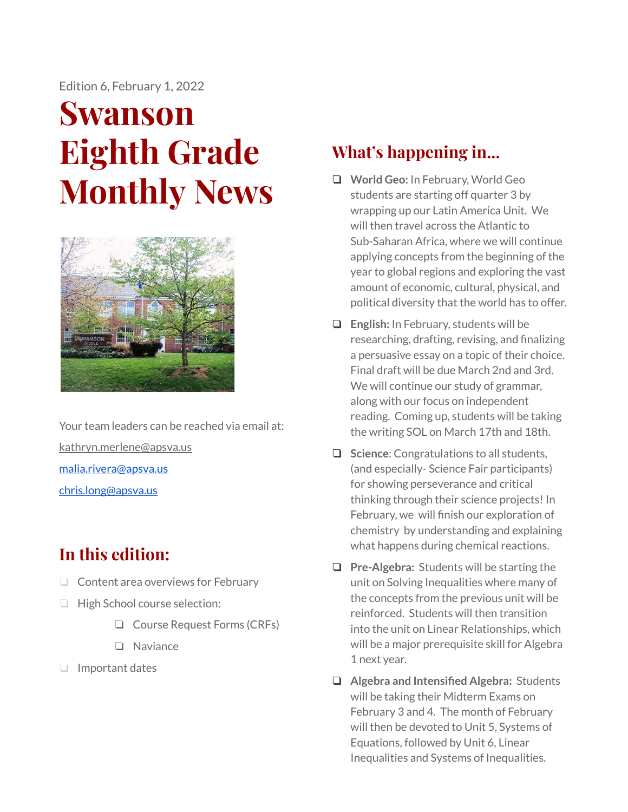Edition 6, February 1, 2022

# **Swanson Eighth Grade Monthly News**



Your team leaders can be reached via email at: [kathryn.merlene@apsva.us](mailto:kathryn.merlene@apsva.us) [malia.rivera@apsva.us](mailto:malia.rivera@apsva.us) [chris.long@apsva.us](mailto:chris.long@apsva.us)

## **In this edition:**

- ❏ Content area overviews for February
- ❏ High School course selection:
	- ❏ Course Request Forms (CRFs)
	- ❏ Naviance
- ❏ Important dates

## **What's happening in...**

- ❏ **World Geo:** In February, World Geo students are starting off quarter 3 by wrapping up our Latin America Unit. We will then travel across the Atlantic to Sub-Saharan Africa, where we will continue applying concepts from the beginning of the year to global regions and exploring the vast amount of economic, cultural, physical, and political diversity that the world has to offer.
- ❏ **English:** In February, students will be researching, drafting, revising, and finalizing a persuasive essay on a topic of their choice. Final draft will be due March 2nd and 3rd. We will continue our study of grammar, along with our focus on independent reading. Coming up, students will be taking the writing SOL on March 17th and 18th.
- ❏ **Science**: Congratulations to all students, (and especially- Science Fair participants) for showing perseverance and critical thinking through their science projects! In February, we will finish our exploration of chemistry by understanding and explaining what happens during chemical reactions.
- ❏ **Pre-Algebra:** Students will be starting the unit on Solving Inequalities where many of the concepts from the previous unit will be reinforced. Students will then transition into the unit on Linear Relationships, which will be a major prerequisite skill for Algebra 1 next year.
- ❏ **Algebra and Intensified Algebra:** Students will be taking their Midterm Exams on February 3 and 4. The month of February will then be devoted to Unit 5, Systems of Equations, followed by Unit 6, Linear Inequalities and Systems of Inequalities.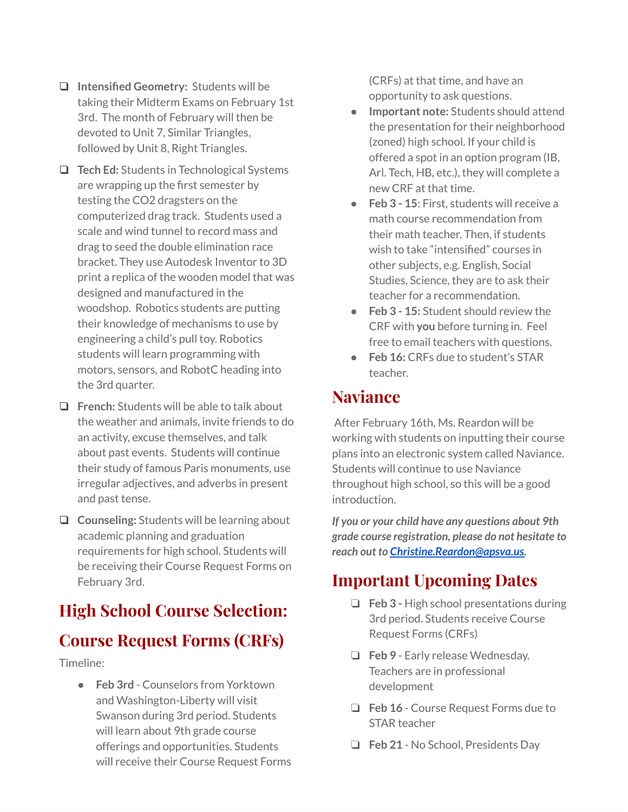- ❏ **Intensified Geometry:** Students will be taking their Midterm Exams on February 1st 3rd. The month of February will then be devoted to Unit 7, Similar Triangles, followed by Unit 8, Right Triangles.
- ❏ **Tech Ed:** Students in Technological Systems are wrapping up the first semester by testing the CO2 dragsters on the computerized drag track. Students used a scale and wind tunnel to record mass and drag to seed the double elimination race bracket. They use Autodesk Inventor to 3D print a replica of the wooden model that was designed and manufactured in the woodshop. Robotics students are putting their knowledge of mechanisms to use by engineering a child's pull toy. Robotics students will learn programming with motors, sensors, and RobotC heading into the 3rd quarter.
- ❏ **French:** Students will be able to talk about the weather and animals, invite friends to do an activity, excuse themselves, and talk about past events. Students will continue their study of famous Paris monuments, use irregular adjectives, and adverbs in present and past tense.
- ❏ **Counseling:** Students will be learning about academic planning and graduation requirements for high school. Students will be receiving their Course Request Forms on February 3rd.

## **High School Course Selection: Course Request Forms (CRFs)**

Timeline:

● **Feb 3rd** - Counselors from Yorktown and Washington-Liberty will visit Swanson during 3rd period. Students will learn about 9th grade course offerings and opportunities. Students will receive their Course Request Forms (CRFs) at that time, and have an opportunity to ask questions.

- **Important note:** Students should attend the presentation for their neighborhood (zoned) high school. If your child is offered a spot in an option program (IB, Arl. Tech, HB, etc.), they will complete a new CRF at that time.
- **Feb 3 - 15**: First, students will receive a math course recommendation from their math teacher. Then, if students wish to take "intensified" courses in other subjects, e.g. English, Social Studies, Science, they are to ask their teacher for a recommendation.
- **Feb 3 - 15:** Student should review the CRF with **you** before turning in. Feel free to email teachers with questions.
- **Feb 16:** CRFs due to student's STAR teacher.

#### **Naviance**

After February 16th, Ms. Reardon will be working with students on inputting their course plans into an electronic system called Naviance. Students will continue to use Naviance throughout high school, so this will be a good introduction.

*If you or your child have any questions about 9th grade course registration, please do not hesitate to reach out to [Christine.Reardon@apsva.us](mailto:Christine.Reardon@apsva.us).*

## **Important Upcoming Dates**

- ❏ **Feb 3 -** High school presentations during 3rd period. Students receive Course Request Forms (CRFs)
- ❏ **Feb 9** Early release Wednesday. Teachers are in professional development
- ❏ **Feb 16** Course Request Forms due to STAR teacher
- ❏ **Feb 21** No School, Presidents Day